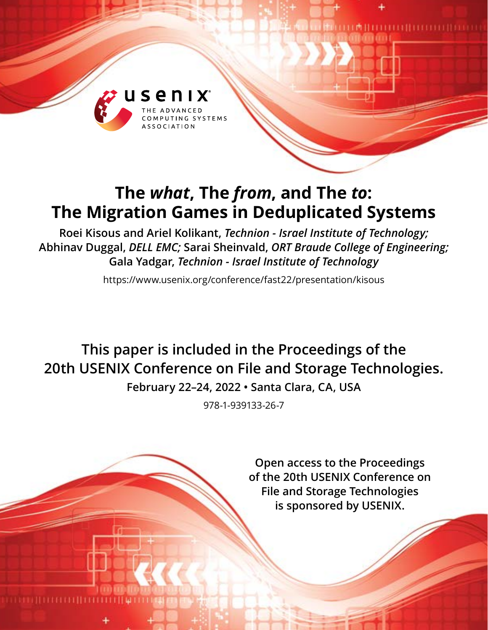

# **The** *what***, The** *from***, and The** *to***: The Migration Games in Deduplicated Systems**

**Roei Kisous and Ariel Kolikant,** *Technion - Israel Institute of Technology;* **Abhinav Duggal,** *DELL EMC;* **Sarai Sheinvald,** *ORT Braude College of Engineering;* **Gala Yadgar,** *Technion - Israel Institute of Technology*

https://www.usenix.org/conference/fast22/presentation/kisous

**This paper is included in the Proceedings of the 20th USENIX Conference on File and Storage Technologies.**

**February 22–24, 2022 • Santa Clara, CA, USA**

978-1-939133-26-7

**Open access to the Proceedings of the 20th USENIX Conference on File and Storage Technologies is sponsored by USENIX.**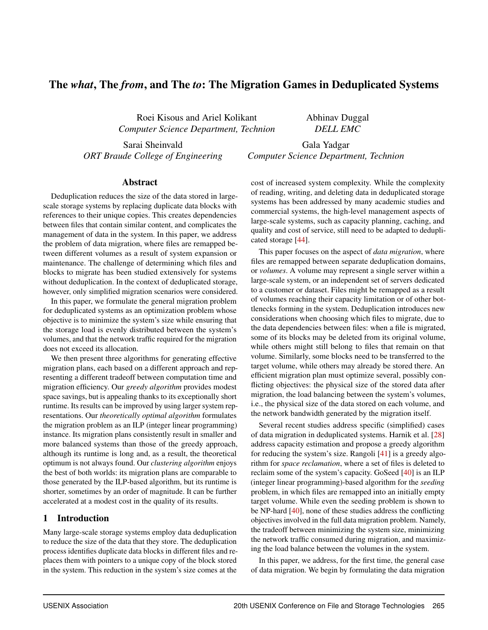## The *what*, The *from*, and The *to*: The Migration Games in Deduplicated Systems

Roei Kisous and Ariel Kolikant *Computer Science Department, Technion* Abhinav Duggal *DELL EMC*

Sarai Sheinvald *ORT Braude College of Engineering*

Gala Yadgar *Computer Science Department, Technion*

#### Abstract

Deduplication reduces the size of the data stored in largescale storage systems by replacing duplicate data blocks with references to their unique copies. This creates dependencies between files that contain similar content, and complicates the management of data in the system. In this paper, we address the problem of data migration, where files are remapped between different volumes as a result of system expansion or maintenance. The challenge of determining which files and blocks to migrate has been studied extensively for systems without deduplication. In the context of deduplicated storage, however, only simplified migration scenarios were considered.

In this paper, we formulate the general migration problem for deduplicated systems as an optimization problem whose objective is to minimize the system's size while ensuring that the storage load is evenly distributed between the system's volumes, and that the network traffic required for the migration does not exceed its allocation.

We then present three algorithms for generating effective migration plans, each based on a different approach and representing a different tradeoff between computation time and migration efficiency. Our *greedy algorithm* provides modest space savings, but is appealing thanks to its exceptionally short runtime. Its results can be improved by using larger system representations. Our *theoretically optimal algorithm* formulates the migration problem as an ILP (integer linear programming) instance. Its migration plans consistently result in smaller and more balanced systems than those of the greedy approach, although its runtime is long and, as a result, the theoretical optimum is not always found. Our *clustering algorithm* enjoys the best of both worlds: its migration plans are comparable to those generated by the ILP-based algorithm, but its runtime is shorter, sometimes by an order of magnitude. It can be further accelerated at a modest cost in the quality of its results.

## 1 Introduction

Many large-scale storage systems employ data deduplication to reduce the size of the data that they store. The deduplication process identifies duplicate data blocks in different files and replaces them with pointers to a unique copy of the block stored in the system. This reduction in the system's size comes at the cost of increased system complexity. While the complexity of reading, writing, and deleting data in deduplicated storage systems has been addressed by many academic studies and commercial systems, the high-level management aspects of large-scale systems, such as capacity planning, caching, and quality and cost of service, still need to be adapted to deduplicated storage [\[44\]](#page-15-0).

This paper focuses on the aspect of *data migration*, where files are remapped between separate deduplication domains, or *volumes*. A volume may represent a single server within a large-scale system, or an independent set of servers dedicated to a customer or dataset. Files might be remapped as a result of volumes reaching their capacity limitation or of other bottlenecks forming in the system. Deduplication introduces new considerations when choosing which files to migrate, due to the data dependencies between files: when a file is migrated, some of its blocks may be deleted from its original volume, while others might still belong to files that remain on that volume. Similarly, some blocks need to be transferred to the target volume, while others may already be stored there. An efficient migration plan must optimize several, possibly conflicting objectives: the physical size of the stored data after migration, the load balancing between the system's volumes, i.e., the physical size of the data stored on each volume, and the network bandwidth generated by the migration itself.

Several recent studies address specific (simplified) cases of data migration in deduplicated systems. Harnik et al. [\[28\]](#page-14-0) address capacity estimation and propose a greedy algorithm for reducing the system's size. Rangoli [\[41\]](#page-15-1) is a greedy algorithm for *space reclamation*, where a set of files is deleted to reclaim some of the system's capacity. GoSeed [\[40\]](#page-15-2) is an ILP (integer linear programming)-based algorithm for the *seeding* problem, in which files are remapped into an initially empty target volume. While even the seeding problem is shown to be NP-hard [\[40\]](#page-15-2), none of these studies address the conflicting objectives involved in the full data migration problem. Namely, the tradeoff between minimizing the system size, minimizing the network traffic consumed during migration, and maximizing the load balance between the volumes in the system.

In this paper, we address, for the first time, the general case of data migration. We begin by formulating the data migration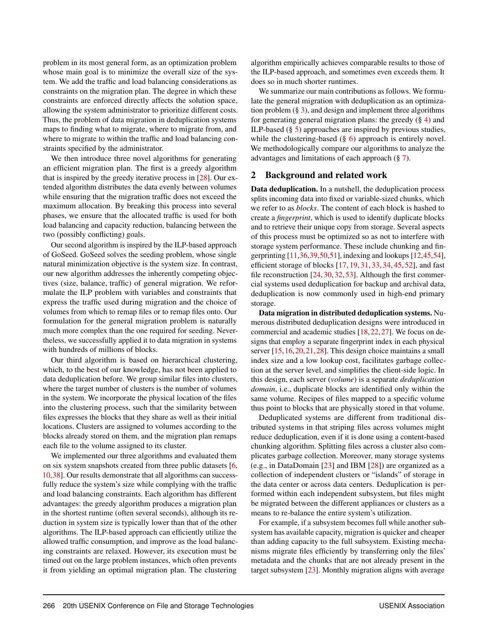problem in its most general form, as an optimization problem whose main goal is to minimize the overall size of the system. We add the traffic and load balancing considerations as constraints on the migration plan. The degree in which these constraints are enforced directly affects the solution space, allowing the system administrator to prioritize different costs. Thus, the problem of data migration in deduplication systems maps to finding what to migrate, where to migrate from, and where to migrate to within the traffic and load balancing constraints specified by the administrator.

We then introduce three novel algorithms for generating an efficient migration plan. The first is a greedy algorithm that is inspired by the greedy iterative process in [\[28\]](#page-14-0). Our extended algorithm distributes the data evenly between volumes while ensuring that the migration traffic does not exceed the maximum allocation. By breaking this process into several phases, we ensure that the allocated traffic is used for both load balancing and capacity reduction, balancing between the two (possibly conflicting) goals.

Our second algorithm is inspired by the ILP-based approach of GoSeed. GoSeed solves the seeding problem, whose single natural minimization objective is the system size. In contrast, our new algorithm addresses the inherently competing objectives (size, balance, traffic) of general migration. We reformulate the ILP problem with variables and constraints that express the traffic used during migration and the choice of volumes from which to remap files or to remap files onto. Our formulation for the general migration problem is naturally much more complex than the one required for seeding. Nevertheless, we successfully applied it to data migration in systems with hundreds of millions of blocks.

Our third algorithm is based on hierarchical clustering, which, to the best of our knowledge, has not been applied to data deduplication before. We group similar files into clusters, where the target number of clusters is the number of volumes in the system. We incorporate the physical location of the files into the clustering process, such that the similarity between files expresses the blocks that they share as well as their initial locations. Clusters are assigned to volumes according to the blocks already stored on them, and the migration plan remaps each file to the volume assigned to its cluster.

We implemented our three algorithms and evaluated them on six system snapshots created from three public datasets [\[6,](#page-13-0) [10,](#page-14-1)[38\]](#page-15-3). Our results demonstrate that all algorithms can successfully reduce the system's size while complying with the traffic and load balancing constraints. Each algorithm has different advantages: the greedy algorithm produces a migration plan in the shortest runtime (often several seconds), although its reduction in system size is typically lower than that of the other algorithms. The ILP-based approach can efficiently utilize the allowed traffic consumption, and improve as the load balancing constraints are relaxed. However, its execution must be timed out on the large problem instances, which often prevents it from yielding an optimal migration plan. The clustering

algorithm empirically achieves comparable results to those of the ILP-based approach, and sometimes even exceeds them. It does so in much shorter runtimes.

We summarize our main contributions as follows. We formulate the general migration with deduplication as an optimization problem  $(\S 3)$  $(\S 3)$ , and design and implement three algorithms for generating general migration plans: the greedy  $(\S 4)$  $(\S 4)$  and ILP-based (§ [5\)](#page-5-0) approaches are inspired by previous studies, while the clustering-based  $(\S 6)$  $(\S 6)$  approach is entirely novel. We methodologically compare our algorithms to analyze the advantages and limitations of each approach (§ [7\)](#page-9-0).

## <span id="page-2-0"></span>2 Background and related work

Data deduplication. In a nutshell, the deduplication process splits incoming data into fixed or variable-sized chunks, which we refer to as *blocks*. The content of each block is hashed to create a *fingerprint*, which is used to identify duplicate blocks and to retrieve their unique copy from storage. Several aspects of this process must be optimized so as not to interfere with storage system performance. These include chunking and fingerprinting [\[11](#page-14-2)[,36,](#page-15-4)[39](#page-15-5)[,50,](#page-15-6)[51\]](#page-16-0), indexing and lookups [\[12](#page-14-3)[,45,](#page-15-7)[54\]](#page-16-1), efficient storage of blocks [\[17,](#page-14-4) [19,](#page-14-5) [31,](#page-15-8) [33,](#page-15-9) [34,](#page-15-10) [45,](#page-15-7) [52\]](#page-16-2), and fast file reconstruction [\[24,](#page-14-6) [30,](#page-15-11) [32,](#page-15-12) [53\]](#page-16-3). Although the first commercial systems used deduplication for backup and archival data, deduplication is now commonly used in high-end primary storage.

Data migration in distributed deduplication systems. Numerous distributed deduplication designs were introduced in commercial and academic studies [\[18,](#page-14-7)[22,](#page-14-8)[27\]](#page-14-9). We focus on designs that employ a separate fingerprint index in each physical server [\[15,](#page-14-10) [16,](#page-14-11) [20,](#page-14-12) [21,](#page-14-13) [28\]](#page-14-0). This design choice maintains a small index size and a low lookup cost, facilitates garbage collection at the server level, and simplifies the client-side logic. In this design, each server (*volume*) is a separate *deduplication domain*, i.e., duplicate blocks are identified only within the same volume. Recipes of files mapped to a specific volume thus point to blocks that are physically stored in that volume.

Deduplicated systems are different from traditional distributed systems in that striping files across volumes might reduce deduplication, even if it is done using a content-based chunking algorithm. Splitting files across a cluster also complicates garbage collection. Moreover, many storage systems (e.g., in DataDomain [\[23\]](#page-14-14) and IBM [\[28\]](#page-14-0)) are organized as a collection of independent clusters or "islands" of storage in the data center or across data centers. Deduplication is performed within each independent subsystem, but files might be migrated between the different appliances or clusters as a means to re-balance the entire system's utilization.

For example, if a subsystem becomes full while another subsystem has available capacity, migration is quicker and cheaper than adding capacity to the full subsystem. Existing mechanisms migrate files efficiently by transferring only the files' metadata and the chunks that are not already present in the target subsystem [\[23\]](#page-14-14). Monthly migration aligns with average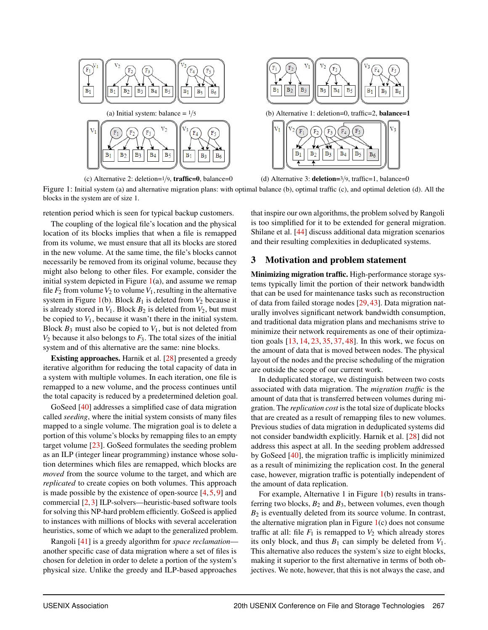<span id="page-3-1"></span>

(c) Alternative 2: deletion=1/9, traffic=0, balance=0 (d) Alternative 3: deletion=3/9, traffic=1, balance=0

Figure 1: Initial system (a) and alternative migration plans: with optimal balance (b), optimal traffic (c), and optimal deletion (d). All the blocks in the system are of size 1.

retention period which is seen for typical backup customers.

The coupling of the logical file's location and the physical location of its blocks implies that when a file is remapped from its volume, we must ensure that all its blocks are stored in the new volume. At the same time, the file's blocks cannot necessarily be removed from its original volume, because they might also belong to other files. For example, consider the initial system depicted in Figure  $1(a)$  $1(a)$ , and assume we remap file  $F_2$  from volume  $V_2$  to volume  $V_1$ , resulting in the alternative system in Figure  $1(b)$  $1(b)$ . Block  $B_1$  is deleted from  $V_2$  because it is already stored in  $V_1$ . Block  $B_2$  is deleted from  $V_2$ , but must be copied to  $V_1$ , because it wasn't there in the initial system. Block  $B_3$  must also be copied to  $V_1$ , but is not deleted from  $V_2$  because it also belongs to  $F_3$ . The total sizes of the initial system and of this alternative are the same: nine blocks.

Existing approaches. Harnik et al. [\[28\]](#page-14-0) presented a greedy iterative algorithm for reducing the total capacity of data in a system with multiple volumes. In each iteration, one file is remapped to a new volume, and the process continues until the total capacity is reduced by a predetermined deletion goal.

GoSeed [\[40\]](#page-15-2) addresses a simplified case of data migration called *seeding*, where the initial system consists of many files mapped to a single volume. The migration goal is to delete a portion of this volume's blocks by remapping files to an empty target volume [\[23\]](#page-14-14). GoSeed formulates the seeding problem as an ILP (integer linear programming) instance whose solution determines which files are remapped, which blocks are *moved* from the source volume to the target, and which are *replicated* to create copies on both volumes. This approach is made possible by the existence of open-source  $[4, 5, 9]$  $[4, 5, 9]$  $[4, 5, 9]$  $[4, 5, 9]$  $[4, 5, 9]$  and commercial [\[2,](#page-13-3) [3\]](#page-13-4) ILP-solvers—heuristic-based software tools for solving this NP-hard problem efficiently. GoSeed is applied to instances with millions of blocks with several acceleration heuristics, some of which we adapt to the generalized problem.

Rangoli [\[41\]](#page-15-1) is a greedy algorithm for *space reclamation* another specific case of data migration where a set of files is chosen for deletion in order to delete a portion of the system's physical size. Unlike the greedy and ILP-based approaches

that inspire our own algorithms, the problem solved by Rangoli is too simplified for it to be extended for general migration. Shilane et al. [\[44\]](#page-15-0) discuss additional data migration scenarios and their resulting complexities in deduplicated systems.

## <span id="page-3-0"></span>3 Motivation and problem statement

Minimizing migration traffic. High-performance storage systems typically limit the portion of their network bandwidth that can be used for maintenance tasks such as reconstruction of data from failed storage nodes [\[29,](#page-15-13) [43\]](#page-15-14). Data migration naturally involves significant network bandwidth consumption, and traditional data migration plans and mechanisms strive to minimize their network requirements as one of their optimization goals [\[13,](#page-14-16) [14,](#page-14-17) [23,](#page-14-14) [35,](#page-15-15) [37,](#page-15-16) [48\]](#page-15-17). In this work, we focus on the amount of data that is moved between nodes. The physical layout of the nodes and the precise scheduling of the migration are outside the scope of our current work.

In deduplicated storage, we distinguish between two costs associated with data migration. The *migration traffic* is the amount of data that is transferred between volumes during migration. The *replication cost* is the total size of duplicate blocks that are created as a result of remapping files to new volumes. Previous studies of data migration in deduplicated systems did not consider bandwidth explicitly. Harnik et al. [\[28\]](#page-14-0) did not address this aspect at all. In the seeding problem addressed by GoSeed [\[40\]](#page-15-2), the migration traffic is implicitly minimized as a result of minimizing the replication cost. In the general case, however, migration traffic is potentially independent of the amount of data replication.

For example, Alternative 1 in Figure [1\(](#page-3-1)b) results in transferring two blocks,  $B_2$  and  $B_3$ , between volumes, even though  $B_2$  is eventually deleted from its source volume. In contrast, the alternative migration plan in Figure  $1(c)$  $1(c)$  does not consume traffic at all: file  $F_1$  is remapped to  $V_2$  which already stores its only block, and thus  $B_1$  can simply be deleted from  $V_1$ . This alternative also reduces the system's size to eight blocks, making it superior to the first alternative in terms of both objectives. We note, however, that this is not always the case, and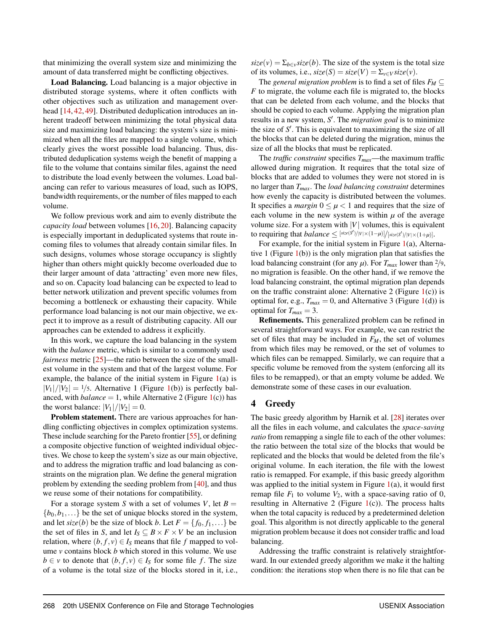that minimizing the overall system size and minimizing the amount of data transferred might be conflicting objectives.

Load Balancing. Load balancing is a major objective in distributed storage systems, where it often conflicts with other objectives such as utilization and management over-head [\[14,](#page-14-17) [42,](#page-15-18) [49\]](#page-15-19). Distributed deduplication introduces an inherent tradeoff between minimizing the total physical data size and maximizing load balancing: the system's size is minimized when all the files are mapped to a single volume, which clearly gives the worst possible load balancing. Thus, distributed deduplication systems weigh the benefit of mapping a file to the volume that contains similar files, against the need to distribute the load evenly between the volumes. Load balancing can refer to various measures of load, such as IOPS, bandwidth requirements, or the number of files mapped to each volume.

We follow previous work and aim to evenly distribute the *capacity load* between volumes [\[16,](#page-14-11) [20\]](#page-14-12). Balancing capacity is especially important in deduplicated systems that route incoming files to volumes that already contain similar files. In such designs, volumes whose storage occupancy is slightly higher than others might quickly become overloaded due to their larger amount of data 'attracting' even more new files, and so on. Capacity load balancing can be expected to lead to better network utilization and prevent specific volumes from becoming a bottleneck or exhausting their capacity. While performance load balancing is not our main objective, we expect it to improve as a result of distributing capacity. All our approaches can be extended to address it explicitly.

In this work, we capture the load balancing in the system with the *balance* metric, which is similar to a commonly used *fairness* metric [\[25\]](#page-14-18)—the ratio between the size of the smallest volume in the system and that of the largest volume. For example, the balance of the initial system in Figure [1\(](#page-3-1)a) is  $|V_1|/|V_2| = 1/5$ . Alternative 1 (Figure [1\(](#page-3-1)b)) is perfectly balanced, with  $balance = 1$ , while Alternative 2 (Figure  $1(c)$  $1(c)$ ) has the worst balance:  $|V_1|/|V_2| = 0$ .

Problem statement. There are various approaches for handling conflicting objectives in complex optimization systems. These include searching for the Pareto frontier [\[55\]](#page-16-4), or defining a composite objective function of weighted individual objectives. We chose to keep the system's size as our main objective, and to address the migration traffic and load balancing as constraints on the migration plan. We define the general migration problem by extending the seeding problem from [\[40\]](#page-15-2), and thus we reuse some of their notations for compatibility.

For a storage system *S* with a set of volumes *V*, let  $B =$  ${b_0, b_1,...}$  be the set of unique blocks stored in the system, and let *size*(*b*) be the size of block *b*. Let  $F = \{f_0, f_1, ...\}$  be the set of files in *S*, and let  $I_S \subseteq B \times F \times V$  be an inclusion relation, where  $(b, f, v) \in I_S$  means that file *f* mapped to volume *v* contains block *b* which stored in this volume. We use *b* ∈ *v* to denote that  $(b, f, v)$  ∈ *I<sub>S</sub>* for some file *f*. The size of a volume is the total size of the blocks stored in it, i.e.,

 $size(v) = \sum_{b \in v} size(b)$ . The size of the system is the total size of its volumes, i.e.,  $size(S) = size(V) = \sum_{v \in V} size(v)$ .

The *general migration problem* is to find a set of files  $F_M \subseteq$ *F* to migrate, the volume each file is migrated to, the blocks that can be deleted from each volume, and the blocks that should be copied to each volume. Applying the migration plan results in a new system, *S* ′ . The *migration goal* is to minimize the size of *S* ′ . This is equivalent to maximizing the size of all the blocks that can be deleted during the migration, minus the size of all the blocks that must be replicated.

The *traffic constraint* specifies  $T_{max}$ —the maximum traffic allowed during migration. It requires that the total size of blocks that are added to volumes they were not stored in is no larger than *Tmax*. The *load balancing constraint* determines how evenly the capacity is distributed between the volumes. It specifies a *margin*  $0 \leq \mu < 1$  and requires that the size of each volume in the new system is within  $\mu$  of the average volume size. For a system with  $|V|$  volumes, this is equivalent to requiring that  $balance \leq \frac{[size(S')/|V| \times (1-\mu)]}{[size(S')/|V| \times (1+\mu)]}$ .

For example, for the initial system in Figure  $1(a)$  $1(a)$ , Alternative 1 (Figure  $1(b)$  $1(b)$ ) is the only migration plan that satisfies the load balancing constraint (for any  $\mu$ ). For  $T_{max}$  lower than  $2/9$ , no migration is feasible. On the other hand, if we remove the load balancing constraint, the optimal migration plan depends on the traffic constraint alone: Alternative 2 (Figure  $1(c)$  $1(c)$ ) is optimal for, e.g.,  $T_{max} = 0$ , and Alternative 3 (Figure [1\(](#page-3-1)d)) is optimal for  $T_{max} = 3$ .

Refinements. This generalized problem can be refined in several straightforward ways. For example, we can restrict the set of files that may be included in *FM*, the set of volumes from which files may be removed, or the set of volumes to which files can be remapped. Similarly, we can require that a specific volume be removed from the system (enforcing all its files to be remapped), or that an empty volume be added. We demonstrate some of these cases in our evaluation.

## <span id="page-4-0"></span>4 Greedy

The basic greedy algorithm by Harnik et al. [\[28\]](#page-14-0) iterates over all the files in each volume, and calculates the *space-saving ratio* from remapping a single file to each of the other volumes: the ratio between the total size of the blocks that would be replicated and the blocks that would be deleted from the file's original volume. In each iteration, the file with the lowest ratio is remapped. For example, if this basic greedy algorithm was applied to the initial system in Figure  $1(a)$  $1(a)$ , it would first remap file  $F_1$  to volume  $V_2$ , with a space-saving ratio of 0, resulting in Alternative 2 (Figure  $1(c)$  $1(c)$ ). The process halts when the total capacity is reduced by a predetermined deletion goal. This algorithm is not directly applicable to the general migration problem because it does not consider traffic and load balancing.

Addressing the traffic constraint is relatively straightforward. In our extended greedy algorithm we make it the halting condition: the iterations stop when there is no file that can be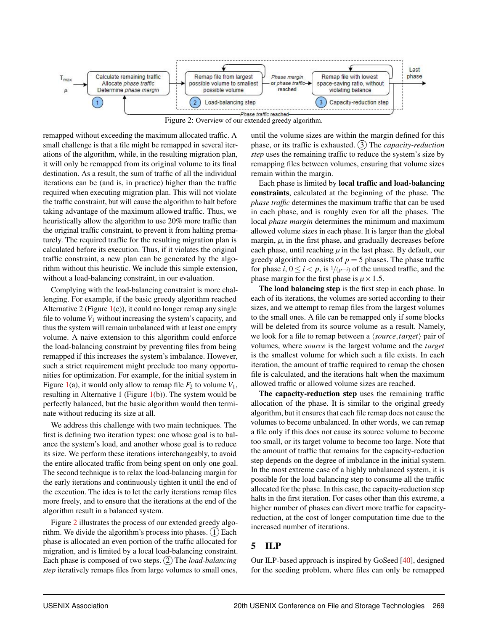<span id="page-5-1"></span>

Figure 2: Overview of our extended greedy algorithm.

remapped without exceeding the maximum allocated traffic. A small challenge is that a file might be remapped in several iterations of the algorithm, while, in the resulting migration plan, it will only be remapped from its original volume to its final destination. As a result, the sum of traffic of all the individual iterations can be (and is, in practice) higher than the traffic required when executing migration plan. This will not violate the traffic constraint, but will cause the algorithm to halt before taking advantage of the maximum allowed traffic. Thus, we heuristically allow the algorithm to use 20% more traffic than the original traffic constraint, to prevent it from halting prematurely. The required traffic for the resulting migration plan is calculated before its execution. Thus, if it violates the original traffic constraint, a new plan can be generated by the algorithm without this heuristic. We include this simple extension, without a load-balancing constraint, in our evaluation.

Complying with the load-balancing constraint is more challenging. For example, if the basic greedy algorithm reached Alternative 2 (Figure  $1(c)$  $1(c)$ ), it could no longer remap any single file to volume  $V_1$  without increasing the system's capacity, and thus the system will remain unbalanced with at least one empty volume. A naive extension to this algorithm could enforce the load-balancing constraint by preventing files from being remapped if this increases the system's imbalance. However, such a strict requirement might preclude too many opportunities for optimization. For example, for the initial system in Figure [1\(](#page-3-1)a), it would only allow to remap file  $F_2$  to volume  $V_1$ , resulting in Alternative 1 (Figure  $1(b)$  $1(b)$ ). The system would be perfectly balanced, but the basic algorithm would then terminate without reducing its size at all.

We address this challenge with two main techniques. The first is defining two iteration types: one whose goal is to balance the system's load, and another whose goal is to reduce its size. We perform these iterations interchangeably, to avoid the entire allocated traffic from being spent on only one goal. The second technique is to relax the load-balancing margin for the early iterations and continuously tighten it until the end of the execution. The idea is to let the early iterations remap files more freely, and to ensure that the iterations at the end of the algorithm result in a balanced system.

Figure [2](#page-5-1) illustrates the process of our extended greedy algorithm. We divide the algorithm's process into phases.  $(1)$  Each phase is allocated an even portion of the traffic allocated for migration, and is limited by a local load-balancing constraint. Each phase is composed of two steps. (2) The *load-balancing step* iteratively remaps files from large volumes to small ones,

until the volume sizes are within the margin defined for this phase, or its traffic is exhausted. (3) The *capacity-reduction step* uses the remaining traffic to reduce the system's size by remapping files between volumes, ensuring that volume sizes remain within the margin.

Each phase is limited by local traffic and load-balancing constraints, calculated at the beginning of the phase. The *phase traffic* determines the maximum traffic that can be used in each phase, and is roughly even for all the phases. The local *phase margin* determines the minimum and maximum allowed volume sizes in each phase. It is larger than the global margin,  $\mu$ , in the first phase, and gradually decreases before each phase, until reaching  $\mu$  in the last phase. By default, our greedy algorithm consists of  $p = 5$  phases. The phase traffic for phase *i*,  $0 \le i < p$ , is  $\frac{1}{p-i}$  of the unused traffic, and the phase margin for the first phase is  $\mu \times 1.5$ .

The load balancing step is the first step in each phase. In each of its iterations, the volumes are sorted according to their sizes, and we attempt to remap files from the largest volumes to the small ones. A file can be remapped only if some blocks will be deleted from its source volume as a result. Namely, we look for a file to remap between a ⟨*source*,*target*⟩ pair of volumes, where *source* is the largest volume and the *target* is the smallest volume for which such a file exists. In each iteration, the amount of traffic required to remap the chosen file is calculated, and the iterations halt when the maximum allowed traffic or allowed volume sizes are reached.

The capacity-reduction step uses the remaining traffic allocation of the phase. It is similar to the original greedy algorithm, but it ensures that each file remap does not cause the volumes to become unbalanced. In other words, we can remap a file only if this does not cause its source volume to become too small, or its target volume to become too large. Note that the amount of traffic that remains for the capacity-reduction step depends on the degree of imbalance in the initial system. In the most extreme case of a highly unbalanced system, it is possible for the load balancing step to consume all the traffic allocated for the phase. In this case, the capacity-reduction step halts in the first iteration. For cases other than this extreme, a higher number of phases can divert more traffic for capacityreduction, at the cost of longer computation time due to the increased number of iterations.

## <span id="page-5-0"></span>5 ILP

Our ILP-based approach is inspired by GoSeed [\[40\]](#page-15-2), designed for the seeding problem, where files can only be remapped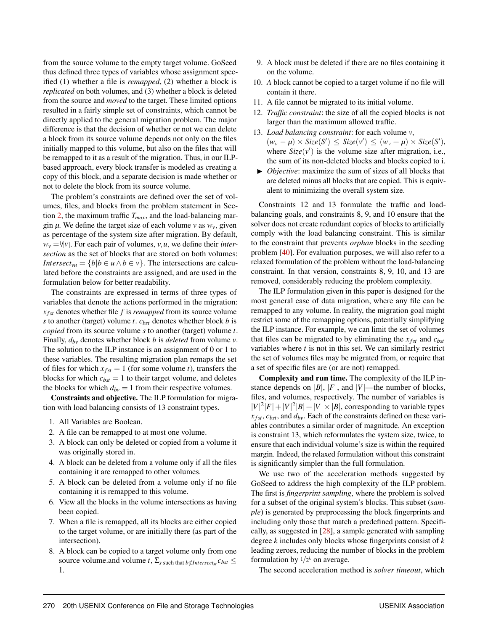from the source volume to the empty target volume. GoSeed thus defined three types of variables whose assignment specified (1) whether a file is *remapped*, (2) whether a block is *replicated* on both volumes, and (3) whether a block is deleted from the source and *moved* to the target. These limited options resulted in a fairly simple set of constraints, which cannot be directly applied to the general migration problem. The major difference is that the decision of whether or not we can delete a block from its source volume depends not only on the files initially mapped to this volume, but also on the files that will be remapped to it as a result of the migration. Thus, in our ILPbased approach, every block transfer is modeled as creating a copy of this block, and a separate decision is made whether or not to delete the block from its source volume.

The problem's constraints are defined over the set of volumes, files, and blocks from the problem statement in Section [2,](#page-2-0) the maximum traffic *Tmax*, and the load-balancing margin  $\mu$ . We define the target size of each volume  $v$  as  $w_v$ , given as percentage of the system size after migration. By default,  $w_v = \frac{1}{|v|}$ . For each pair of volumes, *v*, *u*, we define their *intersection* as the set of blocks that are stored on both volumes: *Intersect*<sub>*vu*</sub> = { $b|b \in u \land b \in v$ }. The intersections are calculated before the constraints are assigned, and are used in the formulation below for better readability.

The constraints are expressed in terms of three types of variables that denote the actions performed in the migration:  $x_{fst}$  denotes whether file  $f$  is *remapped* from its source volume *s* to another (target) volume *t*. *cbst* denotes whether block *b* is *copied* from its source volume *s* to another (target) volume *t*. Finally, *dbv* denotes whether block *b* is *deleted* from volume *v*. The solution to the ILP instance is an assignment of 0 or 1 to these variables. The resulting migration plan remaps the set of files for which  $x_{fst} = 1$  (for some volume *t*), transfers the blocks for which  $c_{bst} = 1$  to their target volume, and deletes the blocks for which  $d_{bv} = 1$  from their respective volumes.

Constraints and objective. The ILP formulation for migration with load balancing consists of 13 constraint types.

- 1. All Variables are Boolean.
- 2. A file can be remapped to at most one volume.
- 3. A block can only be deleted or copied from a volume it was originally stored in.
- 4. A block can be deleted from a volume only if all the files containing it are remapped to other volumes.
- 5. A block can be deleted from a volume only if no file containing it is remapped to this volume.
- 6. View all the blocks in the volume intersections as having been copied.
- 7. When a file is remapped, all its blocks are either copied to the target volume, or are initially there (as part of the intersection).
- 8. A block can be copied to a target volume only from one source volume.and volume *t*,  $\Sigma$ <sub>*s*</sub> such that *b*∉*Intersect<sub>st</sub></sub>*  $c$ *<sub><i>bst*</sub>  $\leq$ 1.
- 9. A block must be deleted if there are no files containing it on the volume.
- 10. *A* block cannot be copied to a target volume if no file will contain it there.
- 11. A file cannot be migrated to its initial volume.
- 12. *Traffic constraint*: the size of all the copied blocks is not larger than the maximum allowed traffic.
- 13. *Load balancing constraint*: for each volume *v*,  $(w_v - \mu) \times \text{Size}(S') \leq \text{Size}(v') \leq (w_v + \mu) \times \text{Size}(S'),$ where  $Size(v')$  is the volume size after migration, i.e., the sum of its non-deleted blocks and blocks copied to i.
- ▶ *Objective*: maximize the sum of sizes of all blocks that are deleted minus all blocks that are copied. This is equivalent to minimizing the overall system size.

Constraints 12 and 13 formulate the traffic and loadbalancing goals, and constraints 8, 9, and 10 ensure that the solver does not create redundant copies of blocks to artificially comply with the load balancing constraint. This is similar to the constraint that prevents *orphan* blocks in the seeding problem [\[40\]](#page-15-2). For evaluation purposes, we will also refer to a relaxed formulation of the problem without the load-balancing constraint. In that version, constraints 8, 9, 10, and 13 are removed, considerably reducing the problem complexity.

The ILP formulation given in this paper is designed for the most general case of data migration, where any file can be remapped to any volume. In reality, the migration goal might restrict some of the remapping options, potentially simplifying the ILP instance. For example, we can limit the set of volumes that files can be migrated to by eliminating the  $x_{fst}$  and  $c_{bst}$ variables where *t* is not in this set. We can similarly restrict the set of volumes files may be migrated from, or require that a set of specific files are (or are not) remapped.

Complexity and run time. The complexity of the ILP instance depends on  $|B|$ ,  $|F|$ , and  $|V|$ —the number of blocks, files, and volumes, respectively. The number of variables is  $|V|^2|F| + |V|^2|B| + |V| \times |B|$ , corresponding to variable types  $x_{fst}$ ,  $c_{bst}$ , and  $d_{bv}$ . Each of the constraints defined on these variables contributes a similar order of magnitude. An exception is constraint 13, which reformulates the system size, twice, to ensure that each individual volume's size is within the required margin. Indeed, the relaxed formulation without this constraint is significantly simpler than the full formulation.

We use two of the acceleration methods suggested by GoSeed to address the high complexity of the ILP problem. The first is *fingerprint sampling*, where the problem is solved for a subset of the original system's blocks. This subset (*sample*) is generated by preprocessing the block fingerprints and including only those that match a predefined pattern. Specifically, as suggested in [\[28\]](#page-14-0), a sample generated with sampling degree *k* includes only blocks whose fingerprints consist of *k* leading zeroes, reducing the number of blocks in the problem formulation by  $1/2^k$  on average.

The second acceleration method is *solver timeout*, which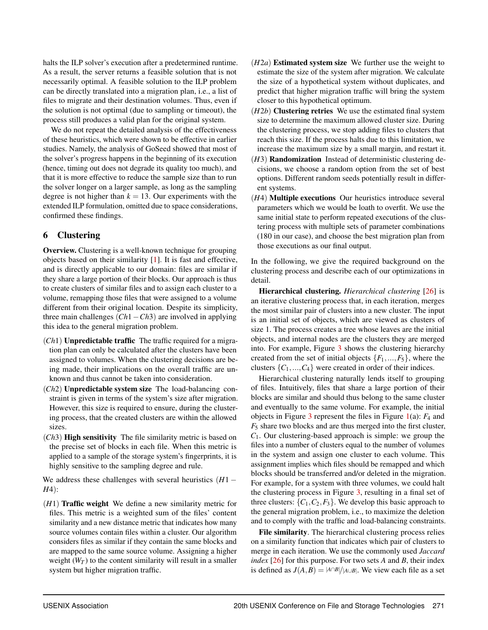halts the ILP solver's execution after a predetermined runtime. As a result, the server returns a feasible solution that is not necessarily optimal. A feasible solution to the ILP problem can be directly translated into a migration plan, i.e., a list of files to migrate and their destination volumes. Thus, even if the solution is not optimal (due to sampling or timeout), the process still produces a valid plan for the original system.

We do not repeat the detailed analysis of the effectiveness of these heuristics, which were shown to be effective in earlier studies. Namely, the analysis of GoSeed showed that most of the solver's progress happens in the beginning of its execution (hence, timing out does not degrade its quality too much), and that it is more effective to reduce the sample size than to run the solver longer on a larger sample, as long as the sampling degree is not higher than  $k = 13$ . Our experiments with the extended ILP formulation, omitted due to space considerations, confirmed these findings.

## <span id="page-7-0"></span>6 Clustering

Overview. Clustering is a well-known technique for grouping objects based on their similarity [\[1\]](#page-13-5). It is fast and effective, and is directly applicable to our domain: files are similar if they share a large portion of their blocks. Our approach is thus to create clusters of similar files and to assign each cluster to a volume, remapping those files that were assigned to a volume different from their original location. Despite its simplicity, three main challenges (*Ch*1−*Ch*3) are involved in applying this idea to the general migration problem.

- (*Ch*1) Unpredictable traffic The traffic required for a migration plan can only be calculated after the clusters have been assigned to volumes. When the clustering decisions are being made, their implications on the overall traffic are unknown and thus cannot be taken into consideration.
- (*Ch*2) Unpredictable system size The load-balancing constraint is given in terms of the system's size after migration. However, this size is required to ensure, during the clustering process, that the created clusters are within the allowed sizes.
- (*Ch*3) High sensitivity The file similarity metric is based on the precise set of blocks in each file. When this metric is applied to a sample of the storage system's fingerprints, it is highly sensitive to the sampling degree and rule.

We address these challenges with several heuristics (*H*1 − *H*4):

(*H*1) Traffic weight We define a new similarity metric for files. This metric is a weighted sum of the files' content similarity and a new distance metric that indicates how many source volumes contain files within a cluster. Our algorithm considers files as similar if they contain the same blocks and are mapped to the same source volume. Assigning a higher weight  $(W_T)$  to the content similarity will result in a smaller system but higher migration traffic.

- (*H*2*a*) Estimated system size We further use the weight to estimate the size of the system after migration. We calculate the size of a hypothetical system without duplicates, and predict that higher migration traffic will bring the system closer to this hypothetical optimum.
- (*H*2*b*) Clustering retries We use the estimated final system size to determine the maximum allowed cluster size. During the clustering process, we stop adding files to clusters that reach this size. If the process halts due to this limitation, we increase the maximum size by a small margin, and restart it.
- (*H*3) Randomization Instead of deterministic clustering decisions, we choose a random option from the set of best options. Different random seeds potentially result in different systems.
- (*H*4) Multiple executions Our heuristics introduce several parameters which we would be loath to overfit. We use the same initial state to perform repeated executions of the clustering process with multiple sets of parameter combinations (180 in our case), and choose the best migration plan from those executions as our final output.

In the following, we give the required background on the clustering process and describe each of our optimizations in detail.

Hierarchical clustering. *Hierarchical clustering* [\[26\]](#page-14-19) is an iterative clustering process that, in each iteration, merges the most similar pair of clusters into a new cluster. The input is an initial set of objects, which are viewed as clusters of size 1. The process creates a tree whose leaves are the initial objects, and internal nodes are the clusters they are merged into. For example, Figure [3](#page-8-0) shows the clustering hierarchy created from the set of initial objects  ${F_1, ..., F_5}$ , where the clusters  $\{C_1, ..., C_4\}$  were created in order of their indices.

Hierarchical clustering naturally lends itself to grouping of files. Intuitively, files that share a large portion of their blocks are similar and should thus belong to the same cluster and eventually to the same volume. For example, the initial objects in Figure [3](#page-8-0) represent the files in Figure [1\(](#page-3-1)a): *F*<sup>4</sup> and *F*<sup>5</sup> share two blocks and are thus merged into the first cluster, *C*1. Our clustering-based approach is simple: we group the files into a number of clusters equal to the number of volumes in the system and assign one cluster to each volume. This assignment implies which files should be remapped and which blocks should be transferred and/or deleted in the migration. For example, for a system with three volumes, we could halt the clustering process in Figure [3,](#page-8-0) resulting in a final set of three clusters:  $\{C_1, C_2, F_3\}$ . We develop this basic approach to the general migration problem, i.e., to maximize the deletion and to comply with the traffic and load-balancing constraints.

File similarity. The hierarchical clustering process relies on a similarity function that indicates which pair of clusters to merge in each iteration. We use the commonly used *Jaccard index* [\[26\]](#page-14-19) for this purpose. For two sets *A* and *B*, their index is defined as  $J(A, B) = |A \cap B| / |A \cup B|$ . We view each file as a set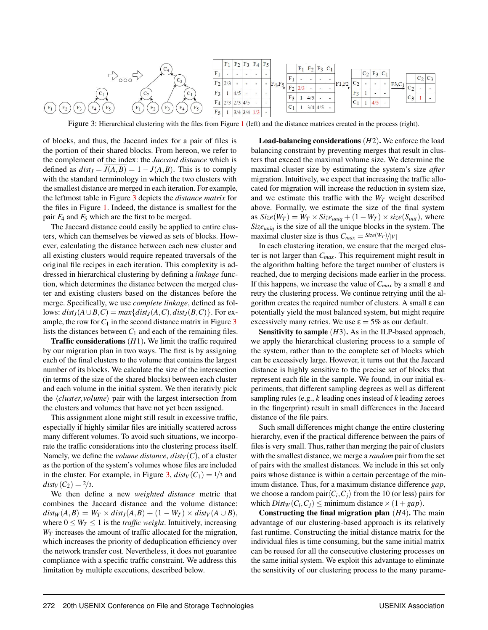<span id="page-8-0"></span>

Figure 3: Hierarchical clustering with the files from Figure [1](#page-3-1) (left) and the distance matrices created in the process (right).

of blocks, and thus, the Jaccard index for a pair of files is the portion of their shared blocks. From hereon, we refer to the complement of the index: the *Jaccard distance* which is defined as  $dist_J = J(A, B) = 1 - J(A, B)$ . This is to comply with the standard terminology in which the two clusters with the smallest distance are merged in each iteration. For example, the leftmost table in Figure [3](#page-8-0) depicts the *distance matrix* for the files in Figure [1.](#page-3-1) Indeed, the distance is smallest for the pair  $F_4$  and  $F_5$  which are the first to be merged.

The Jaccard distance could easily be applied to entire clusters, which can themselves be viewed as sets of blocks. However, calculating the distance between each new cluster and all existing clusters would require repeated traversals of the original file recipes in each iteration. This complexity is addressed in hierarchical clustering by defining a *linkage* function, which determines the distance between the merged cluster and existing clusters based on the distances before the merge. Specifically, we use *complete linkage*, defined as follows:  $dist_I(A \cup B, C) = max\{dist_I(A, C), dist_I(B, C)\}$ . For example, the row for  $C_1$  in the second distance matrix in Figure  $3$ lists the distances between  $C_1$  and each of the remaining files.

Traffic considerations (*H*1). We limit the traffic required by our migration plan in two ways. The first is by assigning each of the final clusters to the volume that contains the largest number of its blocks. We calculate the size of the intersection (in terms of the size of the shared blocks) between each cluster and each volume in the initial system. We then iterativly pick the ⟨*cluster*, *volume*⟩ pair with the largest intersection from the clusters and volumes that have not yet been assigned.

This assignment alone might still result in excessive traffic, especially if highly similar files are initially scattered across many different volumes. To avoid such situations, we incorporate the traffic considerations into the clustering process itself. Namely, we define the *volume distance*,  $dist_V(C)$ , of a cluster as the portion of the system's volumes whose files are included in the cluster. For example, in Figure [3,](#page-8-0)  $dist_V(C_1) = 1/3$  and *dist*<sub>*V*</sub> (*C*<sub>2</sub>) = 2/3.

We then define a new *weighted distance* metric that combines the Jaccard distance and the volume distance:  $dist_W(A, B) = W_T \times dist_J(A, B) + (1 - W_T) \times dist_V(A \cup B),$ where  $0 \leq W_T \leq 1$  is the *traffic weight*. Intuitively, increasing  $W_T$  increases the amount of traffic allocated for the migration, which increases the priority of deduplication efficiency over the network transfer cost. Nevertheless, it does not guarantee compliance with a specific traffic constraint. We address this limitation by multiple executions, described below.

Load-balancing considerations (*H*2). We enforce the load balancing constraint by preventing merges that result in clusters that exceed the maximal volume size. We determine the maximal cluster size by estimating the system's size *after* migration. Intuitively, we expect that increasing the traffic allocated for migration will increase the reduction in system size, and we estimate this traffic with the  $W_T$  weight described above. Formally, we estimate the size of the final system as  $Size(W_T) = W_T \times Size_{uniq} + (1 - W_T) \times size(S_{init}),$  where *Sizeuniq* is the size of all the unique blocks in the system. The maximal cluster size is thus  $C_{max} = \frac{Size(W_T)}{|V|}$ 

In each clustering iteration, we ensure that the merged cluster is not larger than *Cmax*. This requirement might result in the algorithm halting before the target number of clusters is reached, due to merging decisions made earlier in the process. If this happens, we increase the value of  $C_{max}$  by a small ε and retry the clustering process. We continue retrying until the algorithm creates the required number of clusters. A small  $\varepsilon$  can potentially yield the most balanced system, but might require excessively many retries. We use  $\varepsilon = 5\%$  as our default.

Sensitivity to sample (*H3*). As in the ILP-based approach, we apply the hierarchical clustering process to a sample of the system, rather than to the complete set of blocks which can be excessively large. However, it turns out that the Jaccard distance is highly sensitive to the precise set of blocks that represent each file in the sample. We found, in our initial experiments, that different sampling degrees as well as different sampling rules (e.g., *k* leading ones instead of *k* leading zeroes in the fingerprint) result in small differences in the Jaccard distance of the file pairs.

Such small differences might change the entire clustering hierarchy, even if the practical difference between the pairs of files is very small. Thus, rather than merging the pair of clusters with the smallest distance, we merge a *random* pair from the set of pairs with the smallest distances. We include in this set only pairs whose distance is within a certain percentage of the minimum distance. Thus, for a maximum distance difference *gap*, we choose a random pair $\langle C_i, C_j \rangle$  from the 10 (or less) pairs for which  $Dist_W(C_i, C_j) \leq \text{minimum distance} \times (1 + \text{gap}).$ 

Constructing the final migration plan (*H*4). The main advantage of our clustering-based approach is its relatively fast runtime. Constructing the initial distance matrix for the individual files is time consuming, but the same initial matrix can be reused for all the consecutive clustering processes on the same initial system. We exploit this advantage to eliminate the sensitivity of our clustering process to the many parame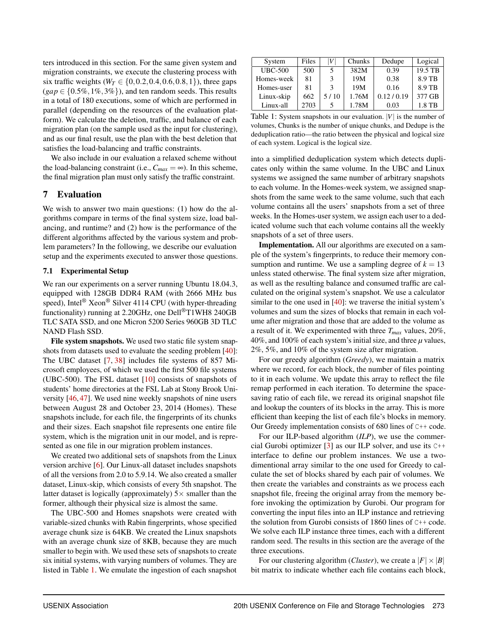ters introduced in this section. For the same given system and migration constraints, we execute the clustering process with six traffic weights ( $W_T \in \{0, 0.2, 0.4, 0.6, 0.8, 1\}$ ), three gaps  $(gap \in \{0.5\%, 1\%, 3\% \})$ , and ten random seeds. This results in a total of 180 executions, some of which are performed in parallel (depending on the resources of the evaluation platform). We calculate the deletion, traffic, and balance of each migration plan (on the sample used as the input for clustering), and as our final result, use the plan with the best deletion that satisfies the load-balancing and traffic constraints.

We also include in our evaluation a relaxed scheme without the load-balancing constraint (i.e.,  $C_{max} = \infty$ ). In this scheme, the final migration plan must only satisfy the traffic constraint.

## <span id="page-9-0"></span>7 Evaluation

We wish to answer two main questions: (1) how do the algorithms compare in terms of the final system size, load balancing, and runtime? and (2) how is the performance of the different algorithms affected by the various system and problem parameters? In the following, we describe our evaluation setup and the experiments executed to answer those questions.

## 7.1 Experimental Setup

We ran our experiments on a server running Ubuntu 18.04.3, equipped with 128GB DDR4 RAM (with 2666 MHz bus speed), Intel<sup>®</sup> Xeon<sup>®</sup> Silver 4114 CPU (with hyper-threading functionality) running at 2.20GHz, one Dell®T1WH8 240GB TLC SATA SSD, and one Micron 5200 Series 960GB 3D TLC NAND Flash SSD.

File system snapshots. We used two static file system snapshots from datasets used to evaluate the seeding problem [\[40\]](#page-15-2): The UBC dataset [\[7,](#page-14-20) [38\]](#page-15-3) includes file systems of 857 Microsoft employees, of which we used the first 500 file systems (UBC-500). The FSL dataset  $[10]$  consists of snapshots of students' home directories at the FSL Lab at Stony Brook University [\[46,](#page-15-20) [47\]](#page-15-21). We used nine weekly snapshots of nine users between August 28 and October 23, 2014 (Homes). These snapshots include, for each file, the fingerprints of its chunks and their sizes. Each snapshot file represents one entire file system, which is the migration unit in our model, and is represented as one file in our migration problem instances.

We created two additional sets of snapshots from the Linux version archive [\[6\]](#page-13-0). Our Linux-all dataset includes snapshots of all the versions from 2.0 to 5.9.14. We also created a smaller dataset, Linux-skip, which consists of every 5th snapshot. The latter dataset is logically (approximately)  $5 \times$  smaller than the former, although their physical size is almost the same.

The UBC-500 and Homes snapshots were created with variable-sized chunks with Rabin fingerprints, whose specified average chunk size is 64KB. We created the Linux snapshots with an average chunk size of 8KB, because they are much smaller to begin with. We used these sets of snapshots to create six initial systems, with varying numbers of volumes. They are listed in Table [1.](#page-9-1) We emulate the ingestion of each snapshot

<span id="page-9-1"></span>

| System         | Files | V    | Chunks | Dedupe    | Logical |
|----------------|-------|------|--------|-----------|---------|
| <b>UBC-500</b> | 500   |      | 382M   | 0.39      | 19.5 TB |
| Homes-week     | 81    |      | 19M    | 0.38      | 8.9 TB  |
| Homes-user     | 81    |      | 19M    | 0.16      | 8.9 TB  |
| Linux-skip     | 662   | 5/10 | 1.76M  | 0.12/0.19 | 377 GB  |
| Linux-all      | 2703  |      | 1.78M  | 0.03      | 1.8 TB  |

Table 1: System snapshots in our evaluation. |*V*| is the number of volumes, Chunks is the number of unique chunks, and Dedupe is the deduplication ratio—the ratio between the physical and logical size of each system. Logical is the logical size.

into a simplified deduplication system which detects duplicates only within the same volume. In the UBC and Linux systems we assigned the same number of arbitrary snapshots to each volume. In the Homes-week system, we assigned snapshots from the same week to the same volume, such that each volume contains all the users' snapshots from a set of three weeks. In the Homes-user system, we assign each user to a dedicated volume such that each volume contains all the weekly snapshots of a set of three users.

Implementation. All our algorithms are executed on a sample of the system's fingerprints, to reduce their memory consumption and runtime. We use a sampling degree of  $k = 13$ unless stated otherwise. The final system size after migration, as well as the resulting balance and consumed traffic are calculated on the original system's snapshot. We use a calculator similar to the one used in [\[40\]](#page-15-2): we traverse the initial system's volumes and sum the sizes of blocks that remain in each volume after migration and those that are added to the volume as a result of it. We experimented with three *Tmax* values, 20%, 40%, and 100% of each system's initial size, and three  $\mu$  values, 2%, 5%, and 10% of the system size after migration.

For our greedy algorithm (*Greedy*), we maintain a matrix where we record, for each block, the number of files pointing to it in each volume. We update this array to reflect the file remap performed in each iteration. To determine the spacesaving ratio of each file, we reread its original snapshot file and lookup the counters of its blocks in the array. This is more efficient than keeping the list of each file's blocks in memory. Our Greedy implementation consists of 680 lines of C++ code.

For our ILP-based algorithm (*ILP*), we use the commercial Gurobi optimizer [\[3\]](#page-13-4) as our ILP solver, and use its C++ interface to define our problem instances. We use a twodimentional array similar to the one used for Greedy to calculate the set of blocks shared by each pair of volumes. We then create the variables and constraints as we process each snapshot file, freeing the original array from the memory before invoking the optimization by Gurobi. Our program for converting the input files into an ILP instance and retrieving the solution from Gurobi consists of 1860 lines of C++ code. We solve each ILP instance three times, each with a different random seed. The results in this section are the average of the three executions.

For our clustering algorithm (*Cluster*), we create a  $|F| \times |B|$ bit matrix to indicate whether each file contains each block,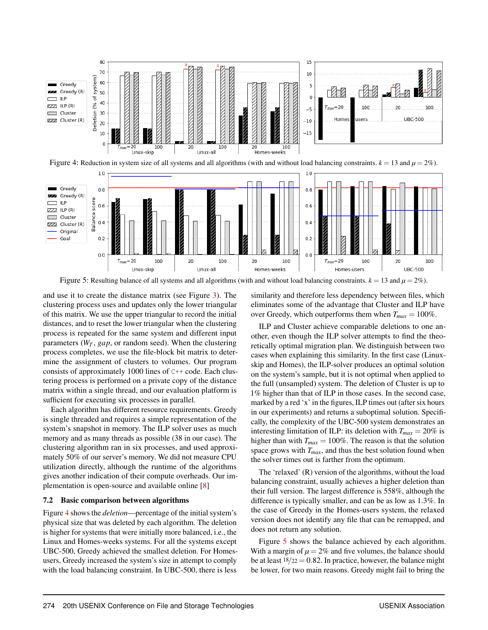<span id="page-10-0"></span>

Figure 4: Reduction in system size of all systems and all algorithms (with and without load balancing constraints.  $k = 13$  and  $\mu = 2\%$ ).

<span id="page-10-1"></span>

Figure 5: Resulting balance of all systems and all algorithms (with and without load balancing constraints.  $k = 13$  and  $\mu = 2\%$ ).

and use it to create the distance matrix (see Figure [3\)](#page-8-0). The clustering process uses and updates only the lower triangular of this matrix. We use the upper triangular to record the initial distances, and to reset the lower triangular when the clustering process is repeated for the same system and different input parameters (*W<sup>T</sup>* , *gap*, or random seed). When the clustering process completes, we use the file-block bit matrix to determine the assignment of clusters to volumes. Our program consists of approximately 1000 lines of C++ code. Each clustering process is performed on a private copy of the distance matrix within a single thread, and our evaluation platform is sufficient for executing six processes in parallel.

Each algorithm has different resource requirements. Greedy is single threaded and requires a simple representation of the system's snapshot in memory. The ILP solver uses as much memory and as many threads as possible (38 in our case). The clustering algorithm ran in six processes, and used approximately 50% of our server's memory. We did not measure CPU utilization directly, although the runtime of the algorithms gives another indication of their compute overheads. Our implementation is open-source and available online [\[8\]](#page-14-21)

#### 7.2 Basic comparison between algorithms

Figure [4](#page-10-0) shows the *deletion*—percentage of the initial system's physical size that was deleted by each algorithm. The deletion is higher for systems that were initially more balanced, i.e., the Linux and Homes-weeks systems. For all the systems except UBC-500, Greedy achieved the smallest deletion. For Homesusers, Greedy increased the system's size in attempt to comply with the load balancing constraint. In UBC-500, there is less similarity and therefore less dependency between files, which eliminates some of the advantage that Cluster and ILP have over Greedy, which outperforms them when  $T_{max} = 100\%$ .

ILP and Cluster achieve comparable deletions to one another, even though the ILP solver attempts to find the theoretically optimal migration plan. We distinguish between two cases when explaining this similarity. In the first case (Linuxskip and Homes), the ILP-solver produces an optimal solution on the system's sample, but it is not optimal when applied to the full (unsampled) system. The deletion of Cluster is up to 1% higher than that of ILP in those cases. In the second case, marked by a red 'x' in the figures, ILP times out (after six hours in our experiments) and returns a suboptimal solution. Specifically, the complexity of the UBC-500 system demonstrates an interesting limitation of ILP: its deletion with  $T_{max} = 20\%$  is higher than with  $T_{max} = 100\%$ . The reason is that the solution space grows with *Tmax*, and thus the best solution found when the solver times out is farther from the optimum.

The 'relaxed' (R) version of the algorithms, without the load balancing constraint, usually achieves a higher deletion than their full version. The largest difference is 558%, although the difference is typically smaller, and can be as low as 1.3%. In the case of Greedy in the Homes-users system, the relaxed version does not identify any file that can be remapped, and does not return any solution.

Figure [5](#page-10-1) shows the balance achieved by each algorithm. With a margin of  $\mu = 2\%$  and five volumes, the balance should be at least  $18/22 = 0.82$ . In practice, however, the balance might be lower, for two main reasons. Greedy might fail to bring the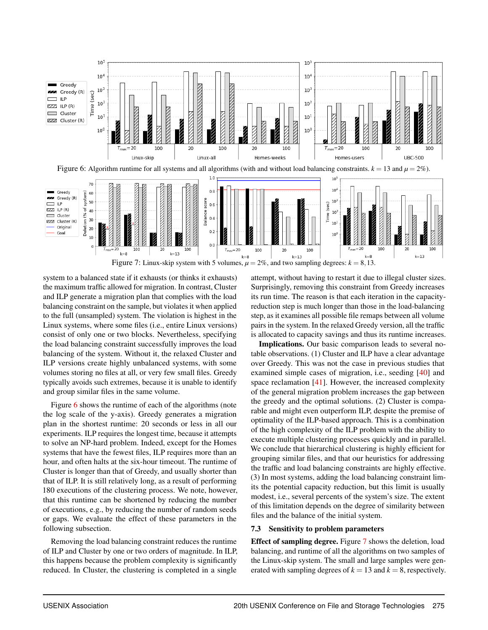<span id="page-11-0"></span>

<span id="page-11-1"></span>system to a balanced state if it exhausts (or thinks it exhausts) the maximum traffic allowed for migration. In contrast, Cluster and ILP generate a migration plan that complies with the load balancing constraint on the sample, but violates it when applied to the full (unsampled) system. The violation is highest in the Linux systems, where some files (i.e., entire Linux versions) consist of only one or two blocks. Nevertheless, specifying the load balancing constraint successfully improves the load balancing of the system. Without it, the relaxed Cluster and ILP versions create highly unbalanced systems, with some volumes storing no files at all, or very few small files. Greedy typically avoids such extremes, because it is unable to identify and group similar files in the same volume.

Figure [6](#page-11-0) shows the runtime of each of the algorithms (note the log scale of the y-axis). Greedy generates a migration plan in the shortest runtime: 20 seconds or less in all our experiments. ILP requires the longest time, because it attempts to solve an NP-hard problem. Indeed, except for the Homes systems that have the fewest files, ILP requires more than an hour, and often halts at the six-hour timeout. The runtime of Cluster is longer than that of Greedy, and usually shorter than that of ILP. It is still relatively long, as a result of performing 180 executions of the clustering process. We note, however, that this runtime can be shortened by reducing the number of executions, e.g., by reducing the number of random seeds or gaps. We evaluate the effect of these parameters in the following subsection.

Removing the load balancing constraint reduces the runtime of ILP and Cluster by one or two orders of magnitude. In ILP, this happens because the problem complexity is significantly reduced. In Cluster, the clustering is completed in a single

attempt, without having to restart it due to illegal cluster sizes. Surprisingly, removing this constraint from Greedy increases its run time. The reason is that each iteration in the capacityreduction step is much longer than those in the load-balancing step, as it examines all possible file remaps between all volume pairs in the system. In the relaxed Greedy version, all the traffic is allocated to capacity savings and thus its runtime increases.

Implications. Our basic comparison leads to several notable observations. (1) Cluster and ILP have a clear advantage over Greedy. This was not the case in previous studies that examined simple cases of migration, i.e., seeding [\[40\]](#page-15-2) and space reclamation [\[41\]](#page-15-1). However, the increased complexity of the general migration problem increases the gap between the greedy and the optimal solutions. (2) Cluster is comparable and might even outperform ILP, despite the premise of optimality of the ILP-based approach. This is a combination of the high complexity of the ILP problem with the ability to execute multiple clustering processes quickly and in parallel. We conclude that hierarchical clustering is highly efficient for grouping similar files, and that our heuristics for addressing the traffic and load balancing constraints are highly effective. (3) In most systems, adding the load balancing constraint limits the potential capacity reduction, but this limit is usually modest, i.e., several percents of the system's size. The extent of this limitation depends on the degree of similarity between files and the balance of the initial system.

#### 7.3 Sensitivity to problem parameters

Effect of sampling degree. Figure [7](#page-11-1) shows the deletion, load balancing, and runtime of all the algorithms on two samples of the Linux-skip system. The small and large samples were generated with sampling degrees of  $k = 13$  and  $k = 8$ , respectively.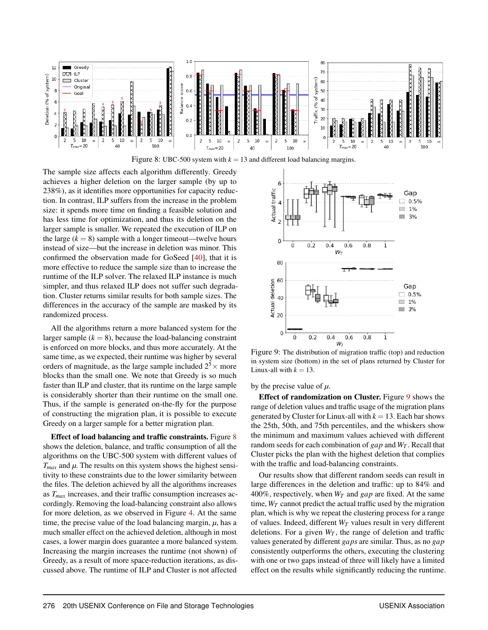<span id="page-12-0"></span>

Figure 8: UBC-500 system with  $k = 13$  and different load balancing margins.

The sample size affects each algorithm differently. Greedy achieves a higher deletion on the larger sample (by up to 238%), as it identifies more opportunities for capacity reduction. In contrast, ILP suffers from the increase in the problem size: it spends more time on finding a feasible solution and has less time for optimization, and thus its deletion on the larger sample is smaller. We repeated the execution of ILP on the large  $(k = 8)$  sample with a longer timeout—twelve hours instead of size—but the increase in deletion was minor. This confirmed the observation made for GoSeed [\[40\]](#page-15-2), that it is more effective to reduce the sample size than to increase the runtime of the ILP solver. The relaxed ILP instance is much simpler, and thus relaxed ILP does not suffer such degradation. Cluster returns similar results for both sample sizes. The differences in the accuracy of the sample are masked by its randomized process.

All the algorithms return a more balanced system for the larger sample  $(k = 8)$ , because the load-balancing constraint is enforced on more blocks, and thus more accurately. At the same time, as we expected, their runtime was higher by several orders of magnitude, as the large sample included  $2^5 \times$  more blocks than the small one. We note that Greedy is so much faster than ILP and cluster, that its runtime on the large sample is considerably shorter than their runtime on the small one. Thus, if the sample is generated on-the-fly for the purpose of constructing the migration plan, it is possible to execute Greedy on a larger sample for a better migration plan.

Effect of load balancing and traffic constraints. Figure [8](#page-12-0) shows the deletion, balance, and traffic consumption of all the algorithms on the UBC-500 system with different values of  $T_{max}$  and  $\mu$ . The results on this system shows the highest sensitivity to these constraints due to the lower similarity between the files. The deletion achieved by all the algorithms increases as *Tmax* increases, and their traffic consumption increases accordingly. Removing the load-balancing constraint also allows for more deletion, as we observed in Figure [4.](#page-10-0) At the same time, the precise value of the load balancing margin, *µ*, has a much smaller effect on the achieved deletion, although in most cases, a lower margin does guarantee a more balanced system. Increasing the margin increases the runtime (not shown) of Greedy, as a result of more space-reduction iterations, as discussed above. The runtime of ILP and Cluster is not affected

<span id="page-12-1"></span>

Figure 9: The distribution of migration traffic (top) and reduction in system size (bottom) in the set of plans returned by Cluster for Linux-all with  $k = 13$ .

by the precise value of  $\mu$ .

Effect of randomization on Cluster. Figure [9](#page-12-1) shows the range of deletion values and traffic usage of the migration plans generated by Cluster for Linux-all with  $k = 13$ . Each bar shows the 25th, 50th, and 75th percentiles, and the whiskers show the minimum and maximum values achieved with different random seeds for each combination of *gap* and *W<sup>T</sup>* . Recall that Cluster picks the plan with the highest deletion that complies with the traffic and load-balancing constraints.

Our results show that different random seeds can result in large differences in the deletion and traffic: up to 84% and 400%, respectively, when *W<sup>T</sup>* and *gap* are fixed. At the same time,  $W_T$  cannot predict the actual traffic used by the migration plan, which is why we repeat the clustering process for a range of values. Indeed, different *W<sup>T</sup>* values result in very different deletions. For a given  $W_T$ , the range of deletion and traffic values generated by different *gaps* are similar. Thus, as no *gap* consistently outperforms the others, executing the clustering with one or two gaps instead of three will likely have a limited effect on the results while significantly reducing the runtime.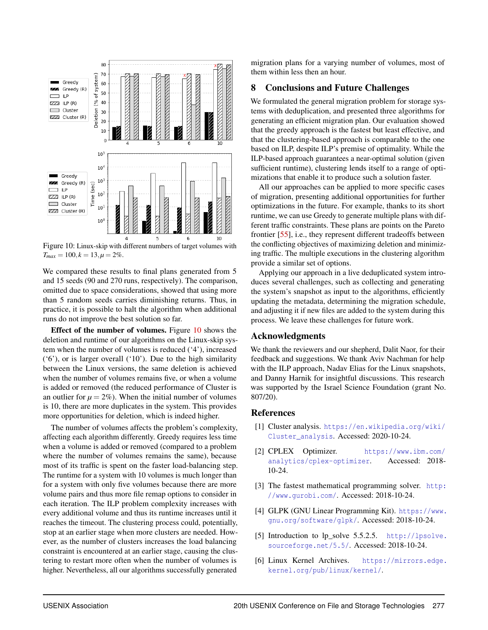<span id="page-13-6"></span>

Figure 10: Linux-skip with different numbers of target volumes with  $T_{max} = 100, k = 13, \mu = 2\%.$ 

We compared these results to final plans generated from 5 and 15 seeds (90 and 270 runs, respectively). The comparison, omitted due to space considerations, showed that using more than 5 random seeds carries diminishing returns. Thus, in practice, it is possible to halt the algorithm when additional runs do not improve the best solution so far.

Effect of the number of volumes. Figure [10](#page-13-6) shows the deletion and runtime of our algorithms on the Linux-skip system when the number of volumes is reduced ('4'), increased ('6'), or is larger overall ('10'). Due to the high similarity between the Linux versions, the same deletion is achieved when the number of volumes remains five, or when a volume is added or removed (the reduced performance of Cluster is an outlier for  $\mu = 2\%$ ). When the initial number of volumes is 10, there are more duplicates in the system. This provides more opportunities for deletion, which is indeed higher.

The number of volumes affects the problem's complexity, affecting each algorithm differently. Greedy requires less time when a volume is added or removed (compared to a problem where the number of volumes remains the same), because most of its traffic is spent on the faster load-balancing step. The runtime for a system with 10 volumes is much longer than for a system with only five volumes because there are more volume pairs and thus more file remap options to consider in each iteration. The ILP problem complexity increases with every additional volume and thus its runtime increases until it reaches the timeout. The clustering process could, potentially, stop at an earlier stage when more clusters are needed. However, as the number of clusters increases the load balancing constraint is encountered at an earlier stage, causing the clustering to restart more often when the number of volumes is higher. Nevertheless, all our algorithms successfully generated

migration plans for a varying number of volumes, most of them within less then an hour.

## **Conclusions and Future Challenges**

We formulated the general migration problem for storage systems with deduplication, and presented three algorithms for generating an efficient migration plan. Our evaluation showed that the greedy approach is the fastest but least effective, and that the clustering-based approach is comparable to the one based on ILP, despite ILP's premise of optimality. While the ILP-based approach guarantees a near-optimal solution (given sufficient runtime), clustering lends itself to a range of optimizations that enable it to produce such a solution faster.

All our approaches can be applied to more specific cases of migration, presenting additional opportunities for further optimizations in the future. For example, thanks to its short runtime, we can use Greedy to generate multiple plans with different traffic constraints. These plans are points on the Pareto frontier [\[55\]](#page-16-4), i.e., they represent different tradeoffs between the conflicting objectives of maximizing deletion and minimizing traffic. The multiple executions in the clustering algorithm provide a similar set of options.

Applying our approach in a live deduplicated system introduces several challenges, such as collecting and generating the system's snapshot as input to the algorithms, efficiently updating the metadata, determining the migration schedule, and adjusting it if new files are added to the system during this process. We leave these challenges for future work.

## Acknowledgments

We thank the reviewers and our shepherd, Dalit Naor, for their feedback and suggestions. We thank Aviv Nachman for help with the ILP approach, Nadav Elias for the Linux snapshots, and Danny Harnik for insightful discussions. This research was supported by the Israel Science Foundation (grant No. 807/20).

#### References

- <span id="page-13-5"></span>[1] Cluster analysis. [https://en.wikipedia.org/wiki/](https://en.wikipedia.org/wiki/Cluster_analysis) [Cluster\\_analysis](https://en.wikipedia.org/wiki/Cluster_analysis). Accessed: 2020-10-24.
- <span id="page-13-3"></span>[2] CPLEX Optimizer. [https://www.ibm.com/](https://www.ibm.com/analytics/cplex-optimizer) [analytics/cplex-optimizer](https://www.ibm.com/analytics/cplex-optimizer). Accessed: 2018- 10-24.
- <span id="page-13-4"></span>[3] The fastest mathematical programming solver. [http:](http://www.gurobi.com/) [//www.gurobi.com/](http://www.gurobi.com/). Accessed: 2018-10-24.
- <span id="page-13-1"></span>[4] GLPK (GNU Linear Programming Kit). [https://www.](https://www.gnu.org/software/glpk/) [gnu.org/software/glpk/](https://www.gnu.org/software/glpk/). Accessed: 2018-10-24.
- <span id="page-13-2"></span>[5] Introduction to lp\_solve 5.5.2.5. [http://lpsolve.](http://lpsolve.sourceforge.net/5.5/) [sourceforge.net/5.5/](http://lpsolve.sourceforge.net/5.5/). Accessed: 2018-10-24.
- <span id="page-13-0"></span>[6] Linux Kernel Archives. [https://mirrors.edge.](https://mirrors.edge.kernel.org/pub/linux/kernel/) [kernel.org/pub/linux/kernel/](https://mirrors.edge.kernel.org/pub/linux/kernel/).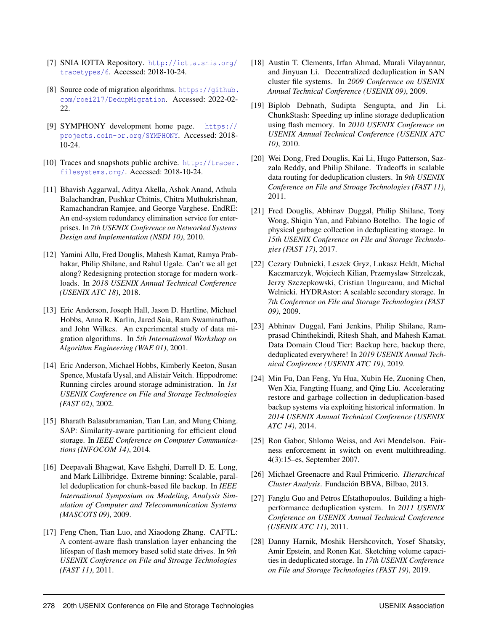- <span id="page-14-20"></span>[7] SNIA IOTTA Repository. [http://iotta.snia.org/](http://iotta.snia.org/tracetypes/6) [tracetypes/6](http://iotta.snia.org/tracetypes/6). Accessed: 2018-10-24.
- <span id="page-14-21"></span>[8] Source code of migration algorithms. [https://github.](https://github.com/roei217/DedupMigration) [com/roei217/DedupMigration](https://github.com/roei217/DedupMigration). Accessed: 2022-02- 22.
- <span id="page-14-15"></span>[9] SYMPHONY development home page. [https://](https://projects.coin-or.org/SYMPHONY) [projects.coin-or.org/SYMPHONY](https://projects.coin-or.org/SYMPHONY). Accessed: 2018- 10-24.
- <span id="page-14-1"></span>[10] Traces and snapshots public archive. [http://tracer.](http://tracer.filesystems.org/) [filesystems.org/](http://tracer.filesystems.org/). Accessed: 2018-10-24.
- <span id="page-14-2"></span>[11] Bhavish Aggarwal, Aditya Akella, Ashok Anand, Athula Balachandran, Pushkar Chitnis, Chitra Muthukrishnan, Ramachandran Ramjee, and George Varghese. EndRE: An end-system redundancy elimination service for enterprises. In *7th USENIX Conference on Networked Systems Design and Implementation (NSDI 10)*, 2010.
- <span id="page-14-3"></span>[12] Yamini Allu, Fred Douglis, Mahesh Kamat, Ramya Prabhakar, Philip Shilane, and Rahul Ugale. Can't we all get along? Redesigning protection storage for modern workloads. In *2018 USENIX Annual Technical Conference (USENIX ATC 18)*, 2018.
- <span id="page-14-16"></span>[13] Eric Anderson, Joseph Hall, Jason D. Hartline, Michael Hobbs, Anna R. Karlin, Jared Saia, Ram Swaminathan, and John Wilkes. An experimental study of data migration algorithms. In *5th International Workshop on Algorithm Engineering (WAE 01)*, 2001.
- <span id="page-14-17"></span>[14] Eric Anderson, Michael Hobbs, Kimberly Keeton, Susan Spence, Mustafa Uysal, and Alistair Veitch. Hippodrome: Running circles around storage administration. In *1st USENIX Conference on File and Storage Technologies (FAST 02)*, 2002.
- <span id="page-14-10"></span>[15] Bharath Balasubramanian, Tian Lan, and Mung Chiang. SAP: Similarity-aware partitioning for efficient cloud storage. In *IEEE Conference on Computer Communications (INFOCOM 14)*, 2014.
- <span id="page-14-11"></span>[16] Deepavali Bhagwat, Kave Eshghi, Darrell D. E. Long, and Mark Lillibridge. Extreme binning: Scalable, parallel deduplication for chunk-based file backup. In *IEEE International Symposium on Modeling, Analysis Simulation of Computer and Telecommunication Systems (MASCOTS 09)*, 2009.
- <span id="page-14-4"></span>[17] Feng Chen, Tian Luo, and Xiaodong Zhang. CAFTL: A content-aware flash translation layer enhancing the lifespan of flash memory based solid state drives. In *9th USENIX Conference on File and Stroage Technologies (FAST 11)*, 2011.
- <span id="page-14-7"></span>[18] Austin T. Clements, Irfan Ahmad, Murali Vilayannur, and Jinyuan Li. Decentralized deduplication in SAN cluster file systems. In *2009 Conference on USENIX Annual Technical Conference (USENIX 09)*, 2009.
- <span id="page-14-5"></span>[19] Biplob Debnath, Sudipta Sengupta, and Jin Li. ChunkStash: Speeding up inline storage deduplication using flash memory. In *2010 USENIX Conference on USENIX Annual Technical Conference (USENIX ATC 10)*, 2010.
- <span id="page-14-12"></span>[20] Wei Dong, Fred Douglis, Kai Li, Hugo Patterson, Sazzala Reddy, and Philip Shilane. Tradeoffs in scalable data routing for deduplication clusters. In *9th USENIX Conference on File and Stroage Technologies (FAST 11)*, 2011.
- <span id="page-14-13"></span>[21] Fred Douglis, Abhinav Duggal, Philip Shilane, Tony Wong, Shiqin Yan, and Fabiano Botelho. The logic of physical garbage collection in deduplicating storage. In *15th USENIX Conference on File and Storage Technologies (FAST 17)*, 2017.
- <span id="page-14-8"></span>[22] Cezary Dubnicki, Leszek Gryz, Lukasz Heldt, Michal Kaczmarczyk, Wojciech Kilian, Przemyslaw Strzelczak, Jerzy Szczepkowski, Cristian Ungureanu, and Michal Welnicki. HYDRAstor: A scalable secondary storage. In *7th Conference on File and Storage Technologies (FAST 09)*, 2009.
- <span id="page-14-14"></span>[23] Abhinav Duggal, Fani Jenkins, Philip Shilane, Ramprasad Chinthekindi, Ritesh Shah, and Mahesh Kamat. Data Domain Cloud Tier: Backup here, backup there, deduplicated everywhere! In *2019 USENIX Annual Technical Conference (USENIX ATC 19)*, 2019.
- <span id="page-14-6"></span>[24] Min Fu, Dan Feng, Yu Hua, Xubin He, Zuoning Chen, Wen Xia, Fangting Huang, and Qing Liu. Accelerating restore and garbage collection in deduplication-based backup systems via exploiting historical information. In *2014 USENIX Annual Technical Conference (USENIX ATC 14)*, 2014.
- <span id="page-14-18"></span>[25] Ron Gabor, Shlomo Weiss, and Avi Mendelson. Fairness enforcement in switch on event multithreading. 4(3):15–es, September 2007.
- <span id="page-14-19"></span>[26] Michael Greenacre and Raul Primicerio. *Hierarchical Cluster Analysis*. Fundación BBVA, Bilbao, 2013.
- <span id="page-14-9"></span>[27] Fanglu Guo and Petros Efstathopoulos. Building a highperformance deduplication system. In *2011 USENIX Conference on USENIX Annual Technical Conference (USENIX ATC 11)*, 2011.
- <span id="page-14-0"></span>[28] Danny Harnik, Moshik Hershcovitch, Yosef Shatsky, Amir Epstein, and Ronen Kat. Sketching volume capacities in deduplicated storage. In *17th USENIX Conference on File and Storage Technologies (FAST 19)*, 2019.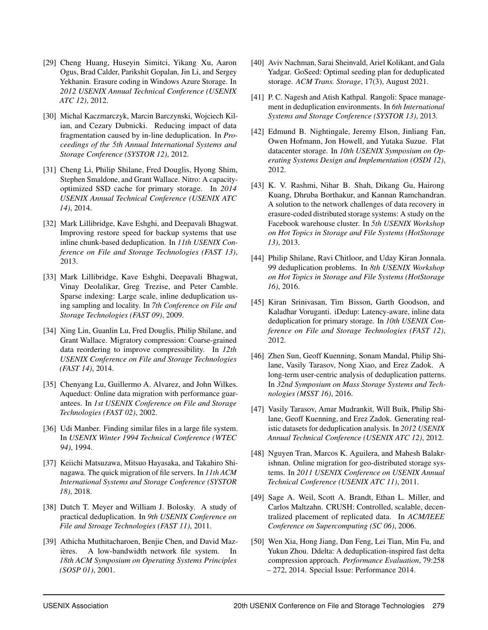- <span id="page-15-13"></span>[29] Cheng Huang, Huseyin Simitci, Yikang Xu, Aaron Ogus, Brad Calder, Parikshit Gopalan, Jin Li, and Sergey Yekhanin. Erasure coding in Windows Azure Storage. In *2012 USENIX Annual Technical Conference (USENIX ATC 12)*, 2012.
- <span id="page-15-11"></span>[30] Michal Kaczmarczyk, Marcin Barczynski, Wojciech Kilian, and Cezary Dubnicki. Reducing impact of data fragmentation caused by in-line deduplication. In *Proceedings of the 5th Annual International Systems and Storage Conference (SYSTOR 12)*, 2012.
- <span id="page-15-8"></span>[31] Cheng Li, Philip Shilane, Fred Douglis, Hyong Shim, Stephen Smaldone, and Grant Wallace. Nitro: A capacityoptimized SSD cache for primary storage. In *2014 USENIX Annual Technical Conference (USENIX ATC 14)*, 2014.
- <span id="page-15-12"></span>[32] Mark Lillibridge, Kave Eshghi, and Deepavali Bhagwat. Improving restore speed for backup systems that use inline chunk-based deduplication. In *11th USENIX Conference on File and Storage Technologies (FAST 13)*, 2013.
- <span id="page-15-9"></span>[33] Mark Lillibridge, Kave Eshghi, Deepavali Bhagwat, Vinay Deolalikar, Greg Trezise, and Peter Camble. Sparse indexing: Large scale, inline deduplication using sampling and locality. In *7th Conference on File and Storage Technologies (FAST 09)*, 2009.
- <span id="page-15-10"></span>[34] Xing Lin, Guanlin Lu, Fred Douglis, Philip Shilane, and Grant Wallace. Migratory compression: Coarse-grained data reordering to improve compressibility. In *12th USENIX Conference on File and Storage Technologies (FAST 14)*, 2014.
- <span id="page-15-15"></span>[35] Chenyang Lu, Guillermo A. Alvarez, and John Wilkes. Aqueduct: Online data migration with performance guarantees. In *1st USENIX Conference on File and Storage Technologies (FAST 02)*, 2002.
- <span id="page-15-4"></span>[36] Udi Manber. Finding similar files in a large file system. In *USENIX Winter 1994 Technical Conference (WTEC 94)*, 1994.
- <span id="page-15-16"></span>[37] Keiichi Matsuzawa, Mitsuo Hayasaka, and Takahiro Shinagawa. The quick migration of file servers. In *11th ACM International Systems and Storage Conference (SYSTOR 18)*, 2018.
- <span id="page-15-3"></span>[38] Dutch T. Meyer and William J. Bolosky. A study of practical deduplication. In *9th USENIX Conference on File and Stroage Technologies (FAST 11)*, 2011.
- <span id="page-15-5"></span>[39] Athicha Muthitacharoen, Benjie Chen, and David Mazières. A low-bandwidth network file system. In *18th ACM Symposium on Operating Systems Principles (SOSP 01)*, 2001.
- <span id="page-15-2"></span>[40] Aviv Nachman, Sarai Sheinvald, Ariel Kolikant, and Gala Yadgar. GoSeed: Optimal seeding plan for deduplicated storage. *ACM Trans. Storage*, 17(3), August 2021.
- <span id="page-15-1"></span>[41] P. C. Nagesh and Atish Kathpal. Rangoli: Space management in deduplication environments. In *6th International Systems and Storage Conference (SYSTOR 13)*, 2013.
- <span id="page-15-18"></span>[42] Edmund B. Nightingale, Jeremy Elson, Jinliang Fan, Owen Hofmann, Jon Howell, and Yutaka Suzue. Flat datacenter storage. In *10th USENIX Symposium on Operating Systems Design and Implementation (OSDI 12)*, 2012.
- <span id="page-15-14"></span>[43] K. V. Rashmi, Nihar B. Shah, Dikang Gu, Hairong Kuang, Dhruba Borthakur, and Kannan Ramchandran. A solution to the network challenges of data recovery in erasure-coded distributed storage systems: A study on the Facebook warehouse cluster. In *5th USENIX Workshop on Hot Topics in Storage and File Systems (HotStorage 13)*, 2013.
- <span id="page-15-0"></span>[44] Philip Shilane, Ravi Chitloor, and Uday Kiran Jonnala. 99 deduplication problems. In *8th USENIX Workshop on Hot Topics in Storage and File Systems (HotStorage 16)*, 2016.
- <span id="page-15-7"></span>[45] Kiran Srinivasan, Tim Bisson, Garth Goodson, and Kaladhar Voruganti. iDedup: Latency-aware, inline data deduplication for primary storage. In *10th USENIX Conference on File and Storage Technologies (FAST 12)*, 2012.
- <span id="page-15-20"></span>[46] Zhen Sun, Geoff Kuenning, Sonam Mandal, Philip Shilane, Vasily Tarasov, Nong Xiao, and Erez Zadok. A long-term user-centric analysis of deduplication patterns. In *32nd Symposium on Mass Storage Systems and Technologies (MSST 16)*, 2016.
- <span id="page-15-21"></span>[47] Vasily Tarasov, Amar Mudrankit, Will Buik, Philip Shilane, Geoff Kuenning, and Erez Zadok. Generating realistic datasets for deduplication analysis. In *2012 USENIX Annual Technical Conference (USENIX ATC 12)*, 2012.
- <span id="page-15-17"></span>[48] Nguyen Tran, Marcos K. Aguilera, and Mahesh Balakrishnan. Online migration for geo-distributed storage systems. In *2011 USENIX Conference on USENIX Annual Technical Conference (USENIX ATC 11)*, 2011.
- <span id="page-15-19"></span>[49] Sage A. Weil, Scott A. Brandt, Ethan L. Miller, and Carlos Maltzahn. CRUSH: Controlled, scalable, decentralized placement of replicated data. In *ACM/IEEE Conference on Supercomputing (SC 06)*, 2006.
- <span id="page-15-6"></span>[50] Wen Xia, Hong Jiang, Dan Feng, Lei Tian, Min Fu, and Yukun Zhou. Ddelta: A deduplication-inspired fast delta compression approach. *Performance Evaluation*, 79:258 – 272, 2014. Special Issue: Performance 2014.